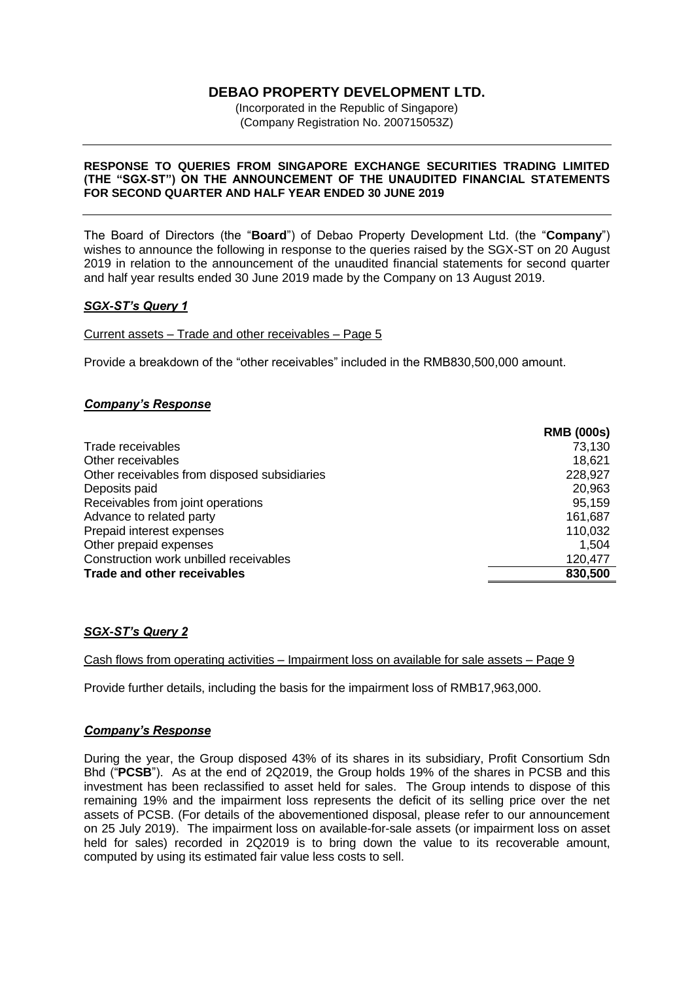## **DEBAO PROPERTY DEVELOPMENT LTD.**

(Incorporated in the Republic of Singapore) (Company Registration No. 200715053Z)

#### **RESPONSE TO QUERIES FROM SINGAPORE EXCHANGE SECURITIES TRADING LIMITED (THE "SGX-ST") ON THE ANNOUNCEMENT OF THE UNAUDITED FINANCIAL STATEMENTS FOR SECOND QUARTER AND HALF YEAR ENDED 30 JUNE 2019**

The Board of Directors (the "**Board**") of Debao Property Development Ltd. (the "**Company**") wishes to announce the following in response to the queries raised by the SGX-ST on 20 August 2019 in relation to the announcement of the unaudited financial statements for second quarter and half year results ended 30 June 2019 made by the Company on 13 August 2019.

### *SGX-ST's Query 1*

Current assets – Trade and other receivables – Page 5

Provide a breakdown of the "other receivables" included in the RMB830,500,000 amount.

#### *Company's Response*

|                                              | <b>RMB (000s)</b> |
|----------------------------------------------|-------------------|
| Trade receivables                            | 73,130            |
| Other receivables                            | 18,621            |
| Other receivables from disposed subsidiaries | 228,927           |
| Deposits paid                                | 20,963            |
| Receivables from joint operations            | 95,159            |
| Advance to related party                     | 161,687           |
| Prepaid interest expenses                    | 110,032           |
| Other prepaid expenses                       | 1,504             |
| Construction work unbilled receivables       | 120,477           |
| Trade and other receivables                  | 830,500           |

### *SGX-ST's Query 2*

Cash flows from operating activities – Impairment loss on available for sale assets – Page 9

Provide further details, including the basis for the impairment loss of RMB17,963,000.

#### *Company's Response*

During the year, the Group disposed 43% of its shares in its subsidiary, Profit Consortium Sdn Bhd ("**PCSB**"). As at the end of 2Q2019, the Group holds 19% of the shares in PCSB and this investment has been reclassified to asset held for sales. The Group intends to dispose of this remaining 19% and the impairment loss represents the deficit of its selling price over the net assets of PCSB. (For details of the abovementioned disposal, please refer to our announcement on 25 July 2019). The impairment loss on available-for-sale assets (or impairment loss on asset held for sales) recorded in 2Q2019 is to bring down the value to its recoverable amount, computed by using its estimated fair value less costs to sell.